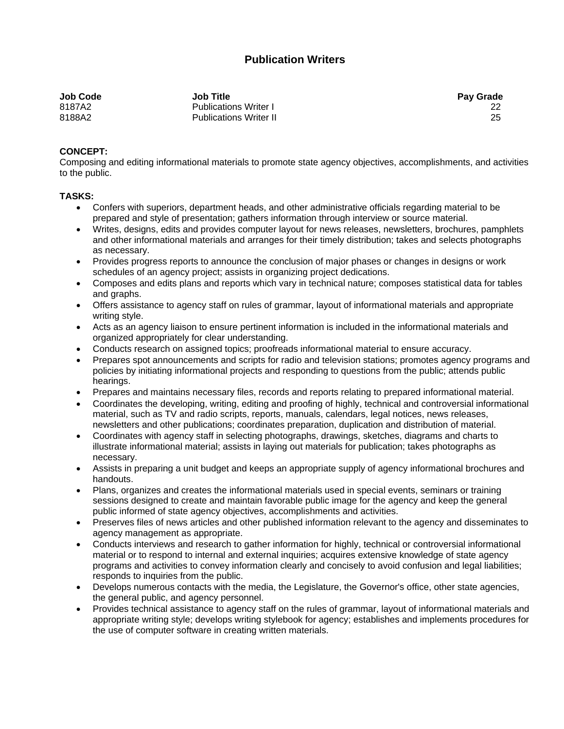## **Publication Writers**

| <b>Job Code</b> | <b>Job Title</b>              | <b>Pay Grade</b> |
|-----------------|-------------------------------|------------------|
| 8187A2          | <b>Publications Writer I</b>  |                  |
| 8188A2          | <b>Publications Writer II</b> | 25               |

## **CONCEPT:**

Composing and editing informational materials to promote state agency objectives, accomplishments, and activities to the public.

## **TASKS:**

- Confers with superiors, department heads, and other administrative officials regarding material to be prepared and style of presentation; gathers information through interview or source material.
- Writes, designs, edits and provides computer layout for news releases, newsletters, brochures, pamphlets and other informational materials and arranges for their timely distribution; takes and selects photographs as necessary.
- Provides progress reports to announce the conclusion of major phases or changes in designs or work schedules of an agency project; assists in organizing project dedications.
- Composes and edits plans and reports which vary in technical nature; composes statistical data for tables and graphs.
- Offers assistance to agency staff on rules of grammar, layout of informational materials and appropriate writing style.
- Acts as an agency liaison to ensure pertinent information is included in the informational materials and organized appropriately for clear understanding.
- Conducts research on assigned topics; proofreads informational material to ensure accuracy.
- Prepares spot announcements and scripts for radio and television stations; promotes agency programs and policies by initiating informational projects and responding to questions from the public; attends public hearings.
- Prepares and maintains necessary files, records and reports relating to prepared informational material.
- Coordinates the developing, writing, editing and proofing of highly, technical and controversial informational material, such as TV and radio scripts, reports, manuals, calendars, legal notices, news releases, newsletters and other publications; coordinates preparation, duplication and distribution of material.
- Coordinates with agency staff in selecting photographs, drawings, sketches, diagrams and charts to illustrate informational material; assists in laying out materials for publication; takes photographs as necessary.
- Assists in preparing a unit budget and keeps an appropriate supply of agency informational brochures and handouts.
- Plans, organizes and creates the informational materials used in special events, seminars or training sessions designed to create and maintain favorable public image for the agency and keep the general public informed of state agency objectives, accomplishments and activities.
- Preserves files of news articles and other published information relevant to the agency and disseminates to agency management as appropriate.
- Conducts interviews and research to gather information for highly, technical or controversial informational material or to respond to internal and external inquiries; acquires extensive knowledge of state agency programs and activities to convey information clearly and concisely to avoid confusion and legal liabilities; responds to inquiries from the public.
- Develops numerous contacts with the media, the Legislature, the Governor's office, other state agencies, the general public, and agency personnel.
- Provides technical assistance to agency staff on the rules of grammar, layout of informational materials and appropriate writing style; develops writing stylebook for agency; establishes and implements procedures for the use of computer software in creating written materials.